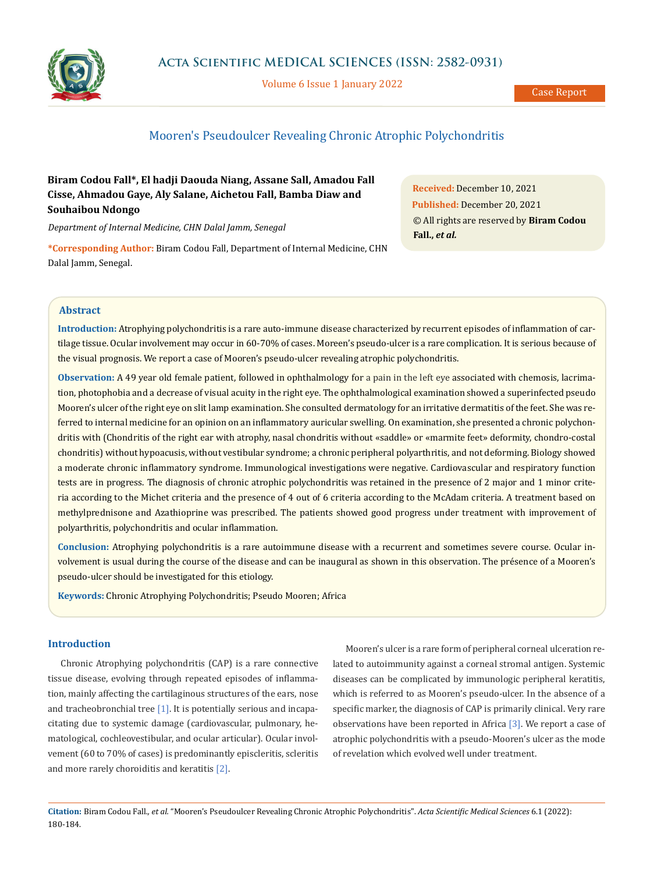

Volume 6 Issue 1 January 2022

# Mooren's Pseudoulcer Revealing Chronic Atrophic Polychondritis

# **Biram Codou Fall\*, El hadji Daouda Niang, Assane Sall, Amadou Fall Cisse, Ahmadou Gaye, Aly Salane, Aichetou Fall, Bamba Diaw and Souhaibou Ndongo**

*Department of Internal Medicine, CHN Dalal Jamm, Senegal*

**\*Corresponding Author:** Biram Codou Fall, Department of Internal Medicine, CHN Dalal Jamm, Senegal.

**Received:** December 10, 2021 **Published:** December 20, 2021 © All rights are reserved by **Biram Codou Fall.,** *et al.*

### **Abstract**

**Introduction:** Atrophying polychondritis is a rare auto-immune disease characterized by recurrent episodes of inflammation of cartilage tissue. Ocular involvement may occur in 60-70% of cases. Moreen's pseudo-ulcer is a rare complication. It is serious because of the visual prognosis. We report a case of Mooren's pseudo-ulcer revealing atrophic polychondritis.

**Observation:** A 49 year old female patient, followed in ophthalmology for a pain in the left eye associated with chemosis, lacrimation, photophobia and a decrease of visual acuity in the right eye. The ophthalmological examination showed a superinfected pseudo Mooren's ulcer of the right eye on slit lamp examination. She consulted dermatology for an irritative dermatitis of the feet. She was referred to internal medicine for an opinion on an inflammatory auricular swelling. On examination, she presented a chronic polychondritis with (Chondritis of the right ear with atrophy, nasal chondritis without «saddle» or «marmite feet» deformity, chondro-costal chondritis) without hypoacusis, without vestibular syndrome; a chronic peripheral polyarthritis, and not deforming. Biology showed a moderate chronic inflammatory syndrome. Immunological investigations were negative. Cardiovascular and respiratory function tests are in progress. The diagnosis of chronic atrophic polychondritis was retained in the presence of 2 major and 1 minor criteria according to the Michet criteria and the presence of 4 out of 6 criteria according to the McAdam criteria. A treatment based on methylprednisone and Azathioprine was prescribed. The patients showed good progress under treatment with improvement of polyarthritis, polychondritis and ocular inflammation.

**Conclusion:** Atrophying polychondritis is a rare autoimmune disease with a recurrent and sometimes severe course. Ocular involvement is usual during the course of the disease and can be inaugural as shown in this observation. The présence of a Mooren's pseudo-ulcer should be investigated for this etiology.

**Keywords:** Chronic Atrophying Polychondritis; Pseudo Mooren; Africa

# **Introduction**

Chronic Atrophying polychondritis (CAP) is a rare connective tissue disease, evolving through repeated episodes of inflammation, mainly affecting the cartilaginous structures of the ears, nose and tracheobronchial tree [1]. It is potentially serious and incapacitating due to systemic damage (cardiovascular, pulmonary, hematological, cochleovestibular, and ocular articular). Ocular involvement (60 to 70% of cases) is predominantly episcleritis, scleritis and more rarely choroiditis and keratitis [2].

Mooren's ulcer is a rare form of peripheral corneal ulceration related to autoimmunity against a corneal stromal antigen. Systemic diseases can be complicated by immunologic peripheral keratitis, which is referred to as Mooren's pseudo-ulcer. In the absence of a specific marker, the diagnosis of CAP is primarily clinical. Very rare observations have been reported in Africa  $[3]$ . We report a case of atrophic polychondritis with a pseudo-Mooren's ulcer as the mode of revelation which evolved well under treatment.

**Citation:** Biram Codou Fall*., et al.* "Mooren's Pseudoulcer Revealing Chronic Atrophic Polychondritis". *Acta Scientific Medical Sciences* 6.1 (2022): 180-184.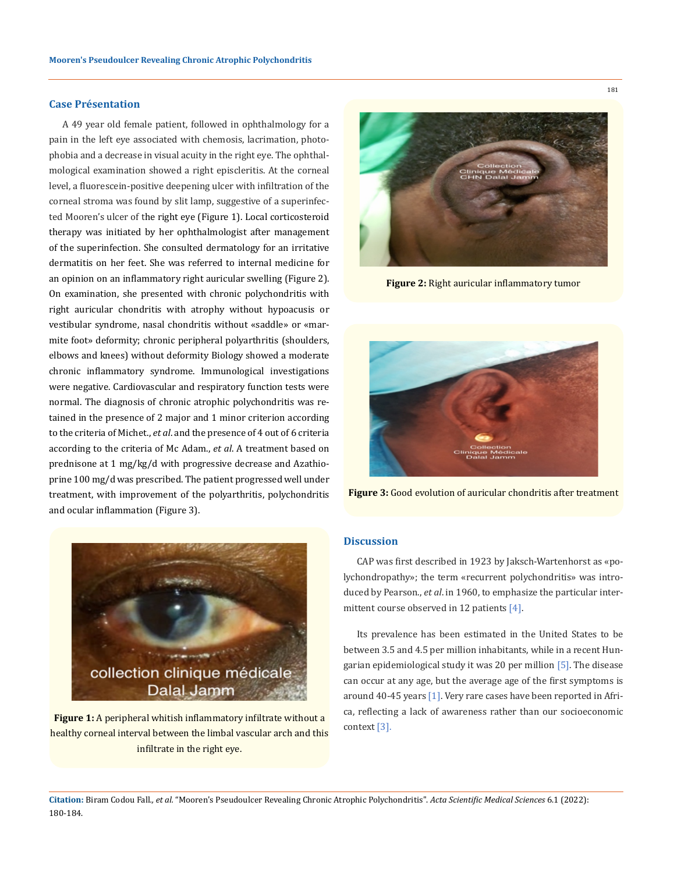### **Case Présentation**

A 49 year old female patient, followed in ophthalmology for a pain in the left eye associated with chemosis, lacrimation, photophobia and a decrease in visual acuity in the right eye. The ophthalmological examination showed a right episcleritis. At the corneal level, a fluorescein-positive deepening ulcer with infiltration of the corneal stroma was found by slit lamp, suggestive of a superinfected Mooren's ulcer of the right eye (Figure 1). Local corticosteroid therapy was initiated by her ophthalmologist after management of the superinfection. She consulted dermatology for an irritative dermatitis on her feet. She was referred to internal medicine for an opinion on an inflammatory right auricular swelling (Figure 2). On examination, she presented with chronic polychondritis with right auricular chondritis with atrophy without hypoacusis or vestibular syndrome, nasal chondritis without «saddle» or «marmite foot» deformity; chronic peripheral polyarthritis (shoulders, elbows and knees) without deformity Biology showed a moderate chronic inflammatory syndrome. Immunological investigations were negative. Cardiovascular and respiratory function tests were normal. The diagnosis of chronic atrophic polychondritis was retained in the presence of 2 major and 1 minor criterion according to the criteria of Michet., *et al*. and the presence of 4 out of 6 criteria according to the criteria of Mc Adam., *et al*. A treatment based on prednisone at 1 mg/kg/d with progressive decrease and Azathioprine 100 mg/d was prescribed. The patient progressed well under treatment, with improvement of the polyarthritis, polychondritis and ocular inflammation (Figure 3).



**Figure 1:** A peripheral whitish inflammatory infiltrate without a healthy corneal interval between the limbal vascular arch and this infiltrate in the right eye.



**Figure 2:** Right auricular inflammatory tumor



**Figure 3:** Good evolution of auricular chondritis after treatment

### **Discussion**

CAP was first described in 1923 by Jaksch-Wartenhorst as «polychondropathy»; the term «recurrent polychondritis» was introduced by Pearson., *et al*. in 1960, to emphasize the particular intermittent course observed in 12 patients [4].

Its prevalence has been estimated in the United States to be between 3.5 and 4.5 per million inhabitants, while in a recent Hungarian epidemiological study it was 20 per million [5]. The disease can occur at any age, but the average age of the first symptoms is around 40-45 years [1]. Very rare cases have been reported in Africa, reflecting a lack of awareness rather than our socioeconomic context [3].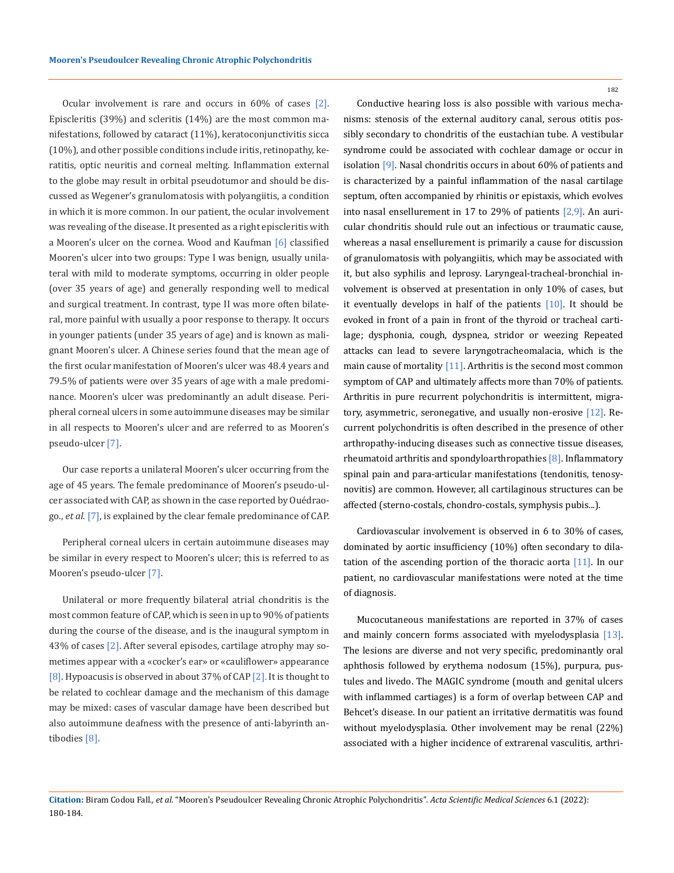Ocular involvement is rare and occurs in 60% of cases [2]. Episcleritis (39%) and scleritis (14%) are the most common manifestations, followed by cataract (11%), keratoconjunctivitis sicca (10%), and other possible conditions include iritis, retinopathy, keratitis, optic neuritis and corneal melting. Inflammation external to the globe may result in orbital pseudotumor and should be discussed as Wegener's granulomatosis with polyangiitis, a condition in which it is more common. In our patient, the ocular involvement was revealing of the disease. It presented as a right episcleritis with a Mooren's ulcer on the cornea. Wood and Kaufman [6] classified Mooren's ulcer into two groups: Type I was benign, usually unilateral with mild to moderate symptoms, occurring in older people (over 35 years of age) and generally responding well to medical and surgical treatment. In contrast, type II was more often bilateral, more painful with usually a poor response to therapy. It occurs in younger patients (under 35 years of age) and is known as malignant Mooren's ulcer. A Chinese series found that the mean age of the first ocular manifestation of Mooren's ulcer was 48.4 years and 79.5% of patients were over 35 years of age with a male predominance. Mooren's ulcer was predominantly an adult disease. Peripheral corneal ulcers in some autoimmune diseases may be similar in all respects to Mooren's ulcer and are referred to as Mooren's pseudo-ulcer [7].

Our case reports a unilateral Mooren's ulcer occurring from the age of 45 years. The female predominance of Mooren's pseudo-ulcer associated with CAP, as shown in the case reported by Ouédraogo., *et al.* [7], is explained by the clear female predominance of CAP.

Peripheral corneal ulcers in certain autoimmune diseases may be similar in every respect to Mooren's ulcer; this is referred to as Mooren's pseudo-ulcer [7].

Unilateral or more frequently bilateral atrial chondritis is the most common feature of CAP, which is seen in up to 90% of patients during the course of the disease, and is the inaugural symptom in 43% of cases [2]. After several episodes, cartilage atrophy may sometimes appear with a «cocker's ear» or «cauliflower» appearance [8]. Hypoacusis is observed in about 37% of CAP [2]. It is thought to be related to cochlear damage and the mechanism of this damage may be mixed: cases of vascular damage have been described but also autoimmune deafness with the presence of anti-labyrinth antibodies [8].

182

Conductive hearing loss is also possible with various mechanisms: stenosis of the external auditory canal, serous otitis possibly secondary to chondritis of the eustachian tube. A vestibular syndrome could be associated with cochlear damage or occur in isolation [9]. Nasal chondritis occurs in about 60% of patients and is characterized by a painful inflammation of the nasal cartilage septum, often accompanied by rhinitis or epistaxis, which evolves into nasal ensellurement in 17 to 29% of patients [2,9]. An auricular chondritis should rule out an infectious or traumatic cause, whereas a nasal ensellurement is primarily a cause for discussion of granulomatosis with polyangiitis, which may be associated with it, but also syphilis and leprosy. Laryngeal-tracheal-bronchial involvement is observed at presentation in only 10% of cases, but it eventually develops in half of the patients  $[10]$ . It should be evoked in front of a pain in front of the thyroid or tracheal cartilage; dysphonia, cough, dyspnea, stridor or weezing Repeated attacks can lead to severe laryngotracheomalacia, which is the main cause of mortality [11]. Arthritis is the second most common symptom of CAP and ultimately affects more than 70% of patients. Arthritis in pure recurrent polychondritis is intermittent, migratory, asymmetric, seronegative, and usually non-erosive [12]. Recurrent polychondritis is often described in the presence of other arthropathy-inducing diseases such as connective tissue diseases, rheumatoid arthritis and spondyloarthropathies [8]. Inflammatory spinal pain and para-articular manifestations (tendonitis, tenosynovitis) are common. However, all cartilaginous structures can be affected (sterno-costals, chondro-costals, symphysis pubis...).

Cardiovascular involvement is observed in 6 to 30% of cases, dominated by aortic insufficiency (10%) often secondary to dilatation of the ascending portion of the thoracic aorta [11]. In our patient, no cardiovascular manifestations were noted at the time of diagnosis.

Mucocutaneous manifestations are reported in 37% of cases and mainly concern forms associated with myelodysplasia [13]. The lesions are diverse and not very specific, predominantly oral aphthosis followed by erythema nodosum (15%), purpura, pustules and livedo. The MAGIC syndrome (mouth and genital ulcers with inflammed cartiages) is a form of overlap between CAP and Behcet's disease. In our patient an irritative dermatitis was found without myelodysplasia. Other involvement may be renal (22%) associated with a higher incidence of extrarenal vasculitis, arthri-

**Citation:** Biram Codou Fall*., et al.* "Mooren's Pseudoulcer Revealing Chronic Atrophic Polychondritis". *Acta Scientific Medical Sciences* 6.1 (2022): 180-184.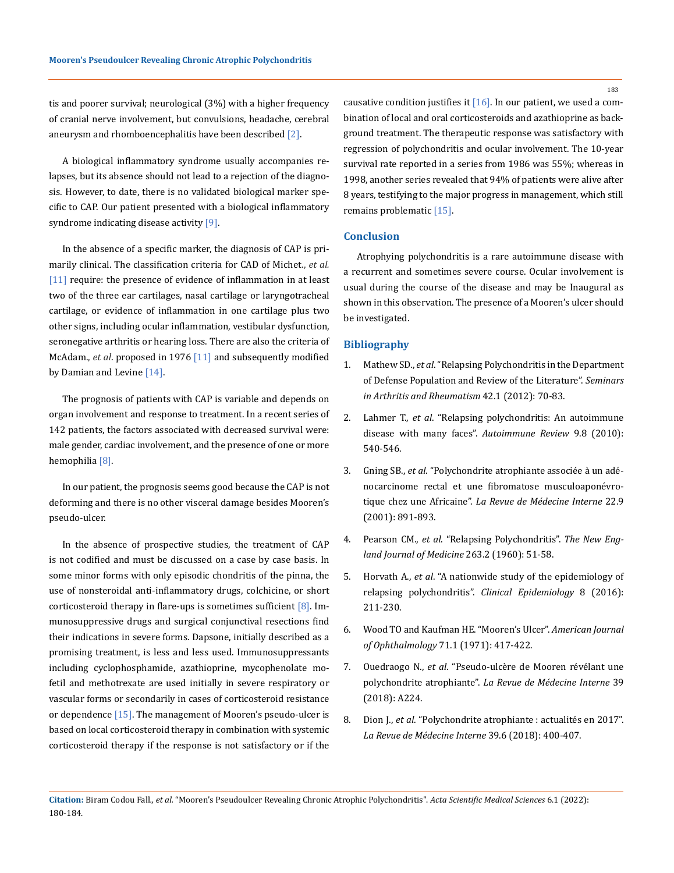tis and poorer survival; neurological (3%) with a higher frequency of cranial nerve involvement, but convulsions, headache, cerebral aneurysm and rhomboencephalitis have been described [2].

A biological inflammatory syndrome usually accompanies relapses, but its absence should not lead to a rejection of the diagnosis. However, to date, there is no validated biological marker specific to CAP. Our patient presented with a biological inflammatory syndrome indicating disease activity [9].

In the absence of a specific marker, the diagnosis of CAP is primarily clinical. The classification criteria for CAD of Michet., *et al.* [11] require: the presence of evidence of inflammation in at least two of the three ear cartilages, nasal cartilage or laryngotracheal cartilage, or evidence of inflammation in one cartilage plus two other signs, including ocular inflammation, vestibular dysfunction, seronegative arthritis or hearing loss. There are also the criteria of McAdam., *et al*. proposed in 1976 [11] and subsequently modified by Damian and Levine [14].

The prognosis of patients with CAP is variable and depends on organ involvement and response to treatment. In a recent series of 142 patients, the factors associated with decreased survival were: male gender, cardiac involvement, and the presence of one or more hemophilia [8].

In our patient, the prognosis seems good because the CAP is not deforming and there is no other visceral damage besides Mooren's pseudo-ulcer.

In the absence of prospective studies, the treatment of CAP is not codified and must be discussed on a case by case basis. In some minor forms with only episodic chondritis of the pinna, the use of nonsteroidal anti-inflammatory drugs, colchicine, or short corticosteroid therapy in flare-ups is sometimes sufficient  $[8]$ . Immunosuppressive drugs and surgical conjunctival resections find their indications in severe forms. Dapsone, initially described as a promising treatment, is less and less used. Immunosuppressants including cyclophosphamide, azathioprine, mycophenolate mofetil and methotrexate are used initially in severe respiratory or vascular forms or secondarily in cases of corticosteroid resistance or dependence [15]. The management of Mooren's pseudo-ulcer is based on local corticosteroid therapy in combination with systemic corticosteroid therapy if the response is not satisfactory or if the causative condition justifies it  $[16]$ . In our patient, we used a combination of local and oral corticosteroids and azathioprine as background treatment. The therapeutic response was satisfactory with regression of polychondritis and ocular involvement. The 10-year survival rate reported in a series from 1986 was 55%; whereas in 1998, another series revealed that 94% of patients were alive after 8 years, testifying to the major progress in management, which still remains problematic [15].

#### **Conclusion**

Atrophying polychondritis is a rare autoimmune disease with a recurrent and sometimes severe course. Ocular involvement is usual during the course of the disease and may be Inaugural as shown in this observation. The presence of a Mooren's ulcer should be investigated.

## **Bibliography**

- 1. Mathew SD., *et al*[. "Relapsing Polychondritis in the Department](https://pubmed.ncbi.nlm.nih.gov/22417894/)  [of Defense Population and Review of the Literature".](https://pubmed.ncbi.nlm.nih.gov/22417894/) *Seminars [in Arthritis and Rheumatism](https://pubmed.ncbi.nlm.nih.gov/22417894/)* 42.1 (2012): 70-83.
- 2. Lahmer T., *et al*[. "Relapsing polychondritis: An autoimmune](https://pubmed.ncbi.nlm.nih.gov/20215048/) [disease with many faces".](https://pubmed.ncbi.nlm.nih.gov/20215048/) *Autoimmune Review* 9.8 (2010): [540-546.](https://pubmed.ncbi.nlm.nih.gov/20215048/)
- 3. Gning SB., *et al*[. "Polychondrite atrophiante associée à un adé](https://www.em-consulte.com/article/7051)[nocarcinome rectal et une fibromatose musculoaponévro](https://www.em-consulte.com/article/7051)tique chez une Africaine". *[La Revue de Médecine Interne](https://www.em-consulte.com/article/7051)* 22.9 [\(2001\): 891-893.](https://www.em-consulte.com/article/7051)
- 4. Pearson CM., *et al*. "Relapsing Polychondritis". *The New England Journal of Medicine* 263.2 (1960): 51-58.
- 5. Horvath A., *et al*[. "A nationwide study of the epidemiology of](https://pubmed.ncbi.nlm.nih.gov/27418855/) [relapsing polychondritis".](https://pubmed.ncbi.nlm.nih.gov/27418855/) *Clinical Epidemiology* 8 (2016): [211-230.](https://pubmed.ncbi.nlm.nih.gov/27418855/)
- 6. [Wood TO and Kaufman HE. "Mooren's Ulcer".](https://pubmed.ncbi.nlm.nih.gov/5100476/) *American Journal of Ophthalmology* [71.1 \(1971\): 417-422.](https://pubmed.ncbi.nlm.nih.gov/5100476/)
- 7. Ouedraogo N., *et al*[. "Pseudo-ulcère de Mooren révélant une](https://www.researchgate.net/publication/325602821_Pseudo-ulcere_de_Mooren_revelant_une_polychondrite_atrophiante) polychondrite atrophiante". *[La Revue de Médecine Interne](https://www.researchgate.net/publication/325602821_Pseudo-ulcere_de_Mooren_revelant_une_polychondrite_atrophiante)* 39 [\(2018\): A224.](https://www.researchgate.net/publication/325602821_Pseudo-ulcere_de_Mooren_revelant_une_polychondrite_atrophiante)
- 8. Dion J., *et al*[. "Polychondrite atrophiante : actualités en 2017".](https://www.researchgate.net/publication/319610460_Polychondrite_atrophiante_actualites_en_2017) *[La Revue de Médecine Interne](https://www.researchgate.net/publication/319610460_Polychondrite_atrophiante_actualites_en_2017)* 39.6 (2018): 400-407.

183

**Citation:** Biram Codou Fall*., et al.* "Mooren's Pseudoulcer Revealing Chronic Atrophic Polychondritis". *Acta Scientific Medical Sciences* 6.1 (2022): 180-184.